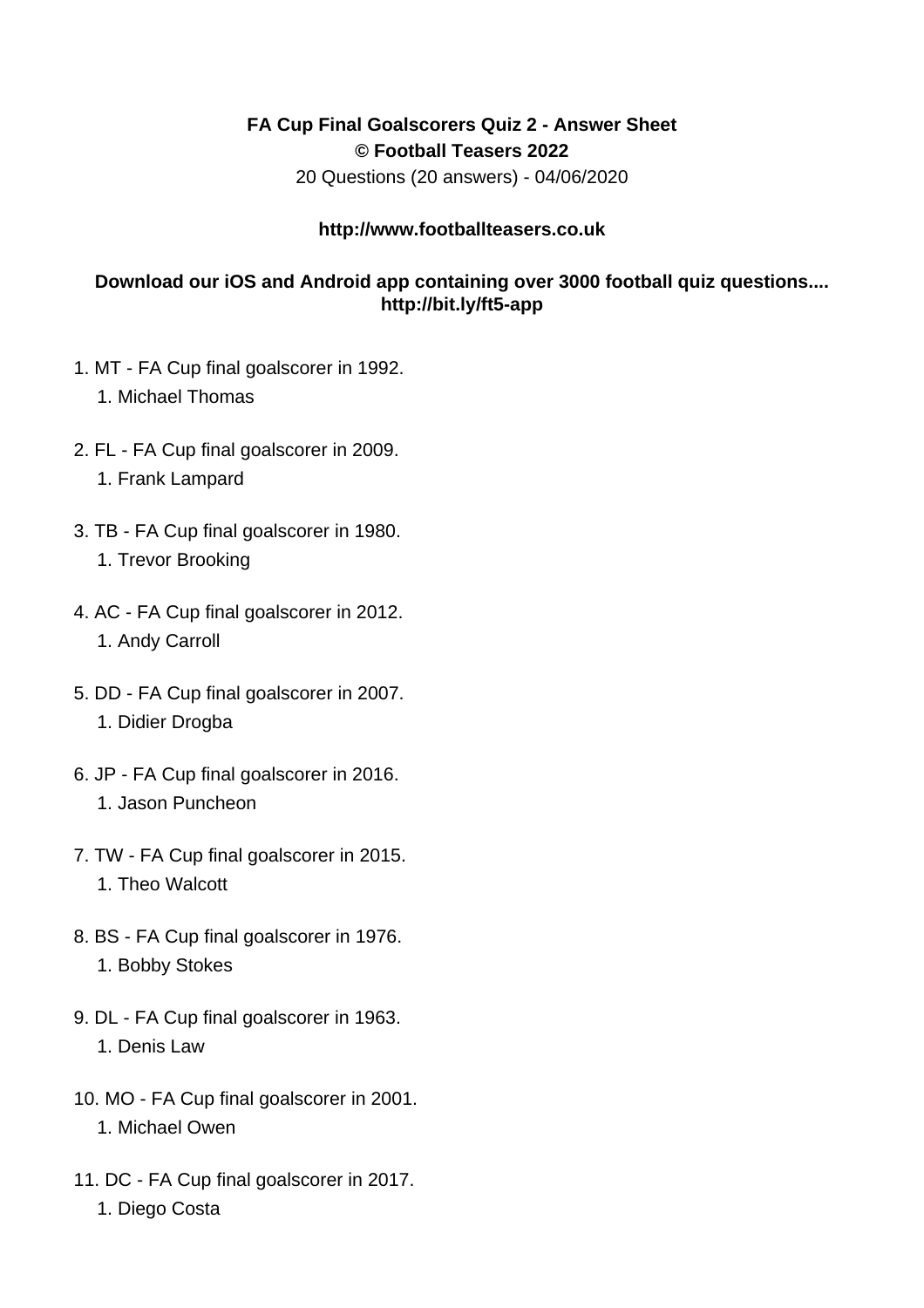## **FA Cup Final Goalscorers Quiz 2 - Answer Sheet © Football Teasers 2022**

20 Questions (20 answers) - 04/06/2020

## **http://www.footballteasers.co.uk**

## **Download our iOS and Android app containing over 3000 football quiz questions.... http://bit.ly/ft5-app**

- 1. MT FA Cup final goalscorer in 1992.
	- 1. Michael Thomas
- 2. FL FA Cup final goalscorer in 2009. 1. Frank Lampard
- 3. TB FA Cup final goalscorer in 1980. 1. Trevor Brooking
- 4. AC FA Cup final goalscorer in 2012. 1. Andy Carroll
- 5. DD FA Cup final goalscorer in 2007. 1. Didier Drogba
- 6. JP FA Cup final goalscorer in 2016. 1. Jason Puncheon
- 7. TW FA Cup final goalscorer in 2015. 1. Theo Walcott
- 8. BS FA Cup final goalscorer in 1976. 1. Bobby Stokes
- 9. DL FA Cup final goalscorer in 1963. 1. Denis Law
- 10. MO FA Cup final goalscorer in 2001. 1. Michael Owen
- 11. DC FA Cup final goalscorer in 2017. 1. Diego Costa